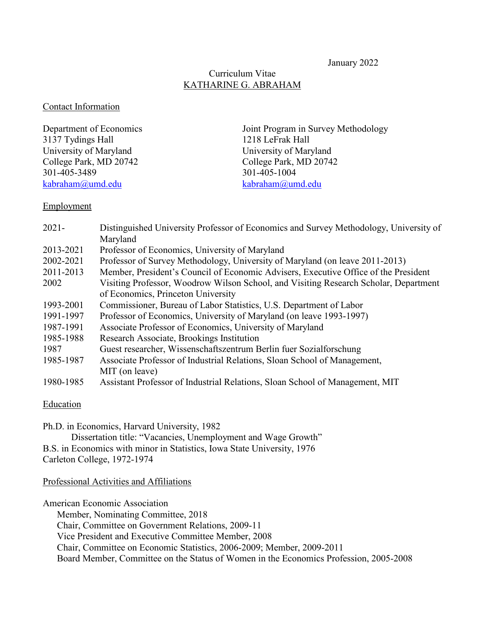January 2022

# Curriculum Vitae KATHARINE G. ABRAHAM

#### Contact Information

| Department of Economics | Joint Program in Survey Methodology |
|-------------------------|-------------------------------------|
| 3137 Tydings Hall       | 1218 LeFrak Hall                    |
| University of Maryland  | University of Maryland              |
| College Park, MD 20742  | College Park, MD 20742              |
| 301-405-3489            | 301-405-1004                        |
| kabraham@umd.edu        | kabraham@umd.edu                    |

### Employment

| $2021 -$  | Distinguished University Professor of Economics and Survey Methodology, University of |  |
|-----------|---------------------------------------------------------------------------------------|--|
|           | Maryland                                                                              |  |
| 2013-2021 | Professor of Economics, University of Maryland                                        |  |
| 2002-2021 | Professor of Survey Methodology, University of Maryland (on leave 2011-2013)          |  |
| 2011-2013 | Member, President's Council of Economic Advisers, Executive Office of the President   |  |
| 2002      | Visiting Professor, Woodrow Wilson School, and Visiting Research Scholar, Department  |  |
|           | of Economics, Princeton University                                                    |  |
| 1993-2001 | Commissioner, Bureau of Labor Statistics, U.S. Department of Labor                    |  |
| 1991-1997 | Professor of Economics, University of Maryland (on leave 1993-1997)                   |  |
| 1987-1991 | Associate Professor of Economics, University of Maryland                              |  |
| 1985-1988 | Research Associate, Brookings Institution                                             |  |
| 1987      | Guest researcher, Wissenschaftszentrum Berlin fuer Sozialforschung                    |  |
| 1985-1987 | Associate Professor of Industrial Relations, Sloan School of Management,              |  |
|           | MIT (on leave)                                                                        |  |
| 1980-1985 | Assistant Professor of Industrial Relations, Sloan School of Management, MIT          |  |

#### **Education**

Ph.D. in Economics, Harvard University, 1982 Dissertation title: "Vacancies, Unemployment and Wage Growth" B.S. in Economics with minor in Statistics, Iowa State University, 1976

Carleton College, 1972-1974

Professional Activities and Affiliations

American Economic Association Member, Nominating Committee, 2018 Chair, Committee on Government Relations, 2009-11 Vice President and Executive Committee Member, 2008 Chair, Committee on Economic Statistics, 2006-2009; Member, 2009-2011 Board Member, Committee on the Status of Women in the Economics Profession, 2005-2008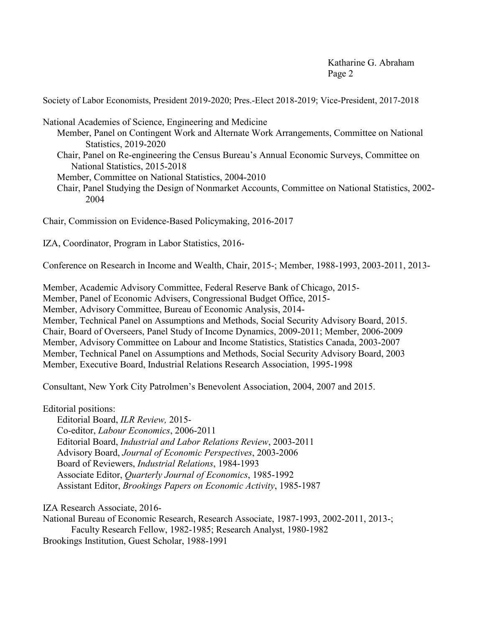Society of Labor Economists, President 2019-2020; Pres.-Elect 2018-2019; Vice-President, 2017-2018

National Academies of Science, Engineering and Medicine

- Member, Panel on Contingent Work and Alternate Work Arrangements, Committee on National Statistics, 2019-2020
- Chair, Panel on Re-engineering the Census Bureau's Annual Economic Surveys, Committee on National Statistics, 2015-2018
- Member, Committee on National Statistics, 2004-2010
- Chair, Panel Studying the Design of Nonmarket Accounts, Committee on National Statistics, 2002- 2004

Chair, Commission on Evidence-Based Policymaking, 2016-2017

IZA, Coordinator, Program in Labor Statistics, 2016-

Conference on Research in Income and Wealth, Chair, 2015-; Member, 1988-1993, 2003-2011, 2013-

Member, Academic Advisory Committee, Federal Reserve Bank of Chicago, 2015- Member, Panel of Economic Advisers, Congressional Budget Office, 2015- Member, Advisory Committee, Bureau of Economic Analysis, 2014- Member, Technical Panel on Assumptions and Methods, Social Security Advisory Board, 2015. Chair, Board of Overseers, Panel Study of Income Dynamics, 2009-2011; Member, 2006-2009 Member, Advisory Committee on Labour and Income Statistics, Statistics Canada, 2003-2007 Member, Technical Panel on Assumptions and Methods, Social Security Advisory Board, 2003 Member, Executive Board, Industrial Relations Research Association, 1995-1998

Consultant, New York City Patrolmen's Benevolent Association, 2004, 2007 and 2015.

Editorial positions:

Editorial Board, *ILR Review,* 2015- Co-editor, *Labour Economics*, 2006-2011 Editorial Board, *Industrial and Labor Relations Review*, 2003-2011 Advisory Board, *Journal of Economic Perspectives*, 2003-2006 Board of Reviewers, *Industrial Relations*, 1984-1993 Associate Editor, *Quarterly Journal of Economics*, 1985-1992 Assistant Editor, *Brookings Papers on Economic Activity*, 1985-1987

IZA Research Associate, 2016-

National Bureau of Economic Research, Research Associate, 1987-1993, 2002-2011, 2013-; Faculty Research Fellow, 1982-1985; Research Analyst, 1980-1982 Brookings Institution, Guest Scholar, 1988-1991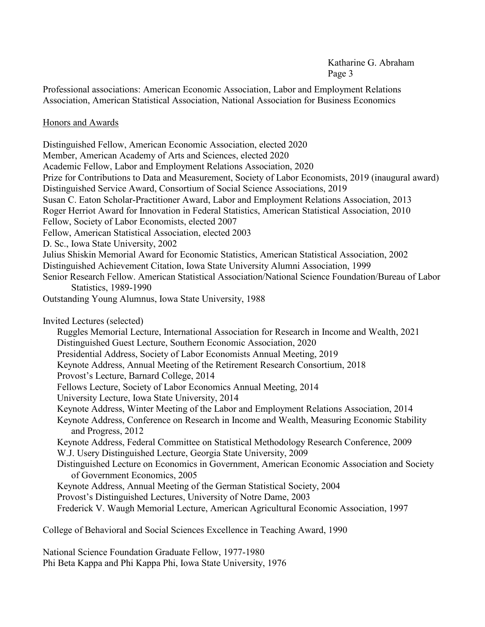Professional associations: American Economic Association, Labor and Employment Relations Association, American Statistical Association, National Association for Business Economics

### Honors and Awards

Distinguished Fellow, American Economic Association, elected 2020 Member, American Academy of Arts and Sciences, elected 2020 Academic Fellow, Labor and Employment Relations Association, 2020 Prize for Contributions to Data and Measurement, Society of Labor Economists, 2019 (inaugural award) Distinguished Service Award, Consortium of Social Science Associations, 2019 Susan C. Eaton Scholar-Practitioner Award, Labor and Employment Relations Association, 2013 Roger Herriot Award for Innovation in Federal Statistics, American Statistical Association, 2010 Fellow, Society of Labor Economists, elected 2007 Fellow, American Statistical Association, elected 2003 D. Sc., Iowa State University, 2002 Julius Shiskin Memorial Award for Economic Statistics, American Statistical Association, 2002 Distinguished Achievement Citation, Iowa State University Alumni Association, 1999 Senior Research Fellow. American Statistical Association/National Science Foundation/Bureau of Labor Statistics, 1989-1990 Outstanding Young Alumnus, Iowa State University, 1988 Invited Lectures (selected) Ruggles Memorial Lecture, International Association for Research in Income and Wealth, 2021 Distinguished Guest Lecture, Southern Economic Association, 2020 Presidential Address, Society of Labor Economists Annual Meeting, 2019 Keynote Address, Annual Meeting of the Retirement Research Consortium, 2018 Provost's Lecture, Barnard College, 2014 Fellows Lecture, Society of Labor Economics Annual Meeting, 2014 University Lecture, Iowa State University, 2014 Keynote Address, Winter Meeting of the Labor and Employment Relations Association, 2014 Keynote Address, Conference on Research in Income and Wealth, Measuring Economic Stability and Progress, 2012 Keynote Address, Federal Committee on Statistical Methodology Research Conference, 2009 W.J. Usery Distinguished Lecture, Georgia State University, 2009 Distinguished Lecture on Economics in Government, American Economic Association and Society of Government Economics, 2005 Keynote Address, Annual Meeting of the German Statistical Society, 2004 Provost's Distinguished Lectures, University of Notre Dame, 2003 Frederick V. Waugh Memorial Lecture, American Agricultural Economic Association, 1997 College of Behavioral and Social Sciences Excellence in Teaching Award, 1990

National Science Foundation Graduate Fellow, 1977-1980 Phi Beta Kappa and Phi Kappa Phi, Iowa State University, 1976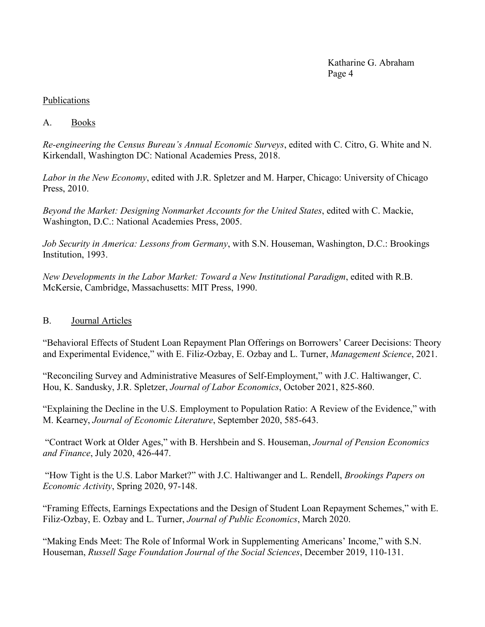# Publications

# A. Books

*Re-engineering the Census Bureau's Annual Economic Surveys*, edited with C. Citro, G. White and N. Kirkendall, Washington DC: National Academies Press, 2018.

*Labor in the New Economy*, edited with J.R. Spletzer and M. Harper, Chicago: University of Chicago Press, 2010.

*Beyond the Market: Designing Nonmarket Accounts for the United States*, edited with C. Mackie, Washington, D.C.: National Academies Press, 2005.

*Job Security in America: Lessons from Germany*, with S.N. Houseman, Washington, D.C.: Brookings Institution, 1993.

*New Developments in the Labor Market: Toward a New Institutional Paradigm*, edited with R.B. McKersie, Cambridge, Massachusetts: MIT Press, 1990.

## B. Journal Articles

"Behavioral Effects of Student Loan Repayment Plan Offerings on Borrowers' Career Decisions: Theory and Experimental Evidence," with E. Filiz-Ozbay, E. Ozbay and L. Turner, *Management Science*, 2021.

"Reconciling Survey and Administrative Measures of Self-Employment," with J.C. Haltiwanger, C. Hou, K. Sandusky, J.R. Spletzer, *Journal of Labor Economics*, October 2021, 825-860.

"Explaining the Decline in the U.S. Employment to Population Ratio: A Review of the Evidence," with M. Kearney, *Journal of Economic Literature*, September 2020, 585-643.

"Contract Work at Older Ages," with B. Hershbein and S. Houseman, *Journal of Pension Economics and Finance*, July 2020, 426-447.

"How Tight is the U.S. Labor Market?" with J.C. Haltiwanger and L. Rendell, *Brookings Papers on Economic Activity*, Spring 2020, 97-148.

"Framing Effects, Earnings Expectations and the Design of Student Loan Repayment Schemes," with E. Filiz-Ozbay, E. Ozbay and L. Turner, *Journal of Public Economics*, March 2020.

"Making Ends Meet: The Role of Informal Work in Supplementing Americans' Income," with S.N. Houseman, *Russell Sage Foundation Journal of the Social Sciences*, December 2019, 110-131.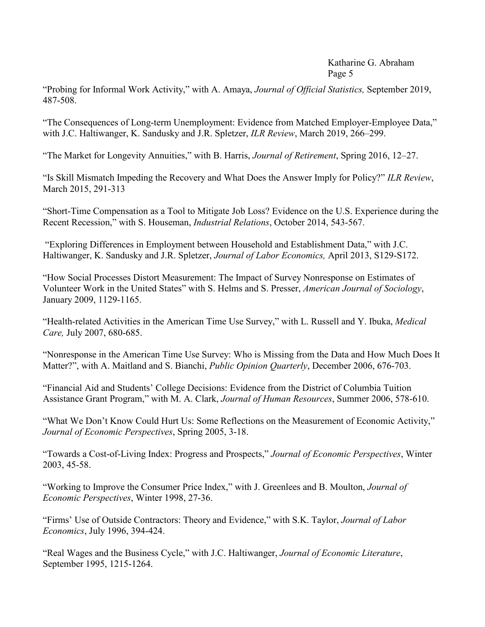"Probing for Informal Work Activity," with A. Amaya, *Journal of Official Statistics,* September 2019, 487-508.

"The Consequences of Long-term Unemployment: Evidence from Matched Employer-Employee Data," with J.C. Haltiwanger, K. Sandusky and J.R. Spletzer, *ILR Review*, March 2019, 266–299.

"The Market for Longevity Annuities," with B. Harris, *Journal of Retirement*, Spring 2016, 12–27.

"Is Skill Mismatch Impeding the Recovery and What Does the Answer Imply for Policy?" *ILR Review*, March 2015, 291-313

"Short-Time Compensation as a Tool to Mitigate Job Loss? Evidence on the U.S. Experience during the Recent Recession," with S. Houseman, *Industrial Relations*, October 2014, 543-567.

"Exploring Differences in Employment between Household and Establishment Data," with J.C. Haltiwanger, K. Sandusky and J.R. Spletzer, *Journal of Labor Economics,* April 2013, S129-S172.

"How Social Processes Distort Measurement: The Impact of Survey Nonresponse on Estimates of Volunteer Work in the United States" with S. Helms and S. Presser, *American Journal of Sociology*, January 2009, 1129-1165.

"Health-related Activities in the American Time Use Survey," with L. Russell and Y. Ibuka, *Medical Care,* July 2007, 680-685.

"Nonresponse in the American Time Use Survey: Who is Missing from the Data and How Much Does It Matter?", with A. Maitland and S. Bianchi, *Public Opinion Quarterly*, December 2006, 676-703.

"Financial Aid and Students' College Decisions: Evidence from the District of Columbia Tuition Assistance Grant Program," with M. A. Clark, *Journal of Human Resources*, Summer 2006, 578-610.

"What We Don't Know Could Hurt Us: Some Reflections on the Measurement of Economic Activity," *Journal of Economic Perspectives*, Spring 2005, 3-18.

"Towards a Cost-of-Living Index: Progress and Prospects," *Journal of Economic Perspectives*, Winter 2003, 45-58.

"Working to Improve the Consumer Price Index," with J. Greenlees and B. Moulton, *Journal of Economic Perspectives*, Winter 1998, 27-36.

"Firms' Use of Outside Contractors: Theory and Evidence," with S.K. Taylor, *Journal of Labor Economics*, July 1996, 394-424.

"Real Wages and the Business Cycle," with J.C. Haltiwanger, *Journal of Economic Literature*, September 1995, 1215-1264.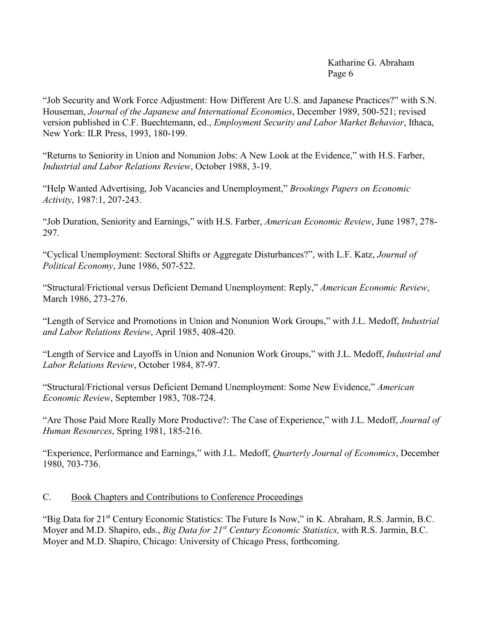"Job Security and Work Force Adjustment: How Different Are U.S. and Japanese Practices?" with S.N. Houseman, *Journal of the Japanese and International Economies*, December 1989, 500-521; revised version published in C.F. Buechtemann, ed., *Employment Security and Labor Market Behavior*, Ithaca, New York: ILR Press, 1993, 180-199.

"Returns to Seniority in Union and Nonunion Jobs: A New Look at the Evidence," with H.S. Farber, *Industrial and Labor Relations Review*, October 1988, 3-19.

"Help Wanted Advertising, Job Vacancies and Unemployment," *Brookings Papers on Economic Activity*, 1987:1, 207-243.

"Job Duration, Seniority and Earnings," with H.S. Farber, *American Economic Review*, June 1987, 278- 297.

"Cyclical Unemployment: Sectoral Shifts or Aggregate Disturbances?", with L.F. Katz, *Journal of Political Economy*, June 1986, 507-522.

"Structural/Frictional versus Deficient Demand Unemployment: Reply," *American Economic Review*, March 1986, 273-276.

"Length of Service and Promotions in Union and Nonunion Work Groups," with J.L. Medoff, *Industrial and Labor Relations Review*, April 1985, 408-420.

"Length of Service and Layoffs in Union and Nonunion Work Groups," with J.L. Medoff, *Industrial and Labor Relations Review*, October 1984, 87-97.

"Structural/Frictional versus Deficient Demand Unemployment: Some New Evidence," *American Economic Review*, September 1983, 708-724.

"Are Those Paid More Really More Productive?: The Case of Experience," with J.L. Medoff, *Journal of Human Resources*, Spring 1981, 185-216.

"Experience, Performance and Earnings," with J.L. Medoff, *Quarterly Journal of Economics*, December 1980, 703-736.

## C. Book Chapters and Contributions to Conference Proceedings

"Big Data for 21<sup>st</sup> Century Economic Statistics: The Future Is Now," in K. Abraham, R.S. Jarmin, B.C. Moyer and M.D. Shapiro, eds., *Big Data for 21st Century Economic Statistics,* with R.S. Jarmin, B.C. Moyer and M.D. Shapiro, Chicago: University of Chicago Press, forthcoming.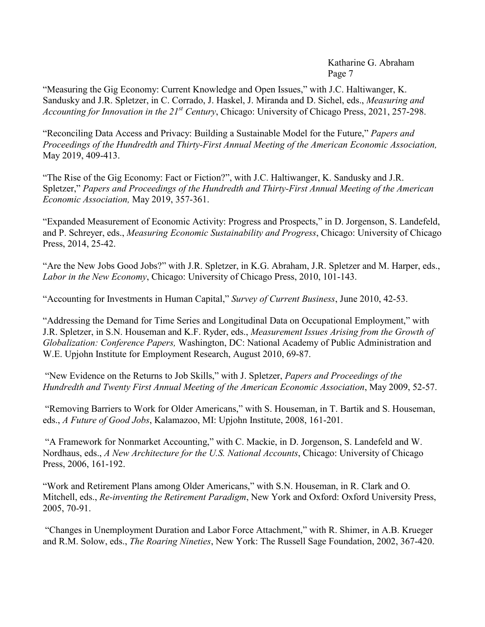"Measuring the Gig Economy: Current Knowledge and Open Issues," with J.C. Haltiwanger, K. Sandusky and J.R. Spletzer, in C. Corrado, J. Haskel, J. Miranda and D. Sichel, eds., *Measuring and Accounting for Innovation in the 21st Century*, Chicago: University of Chicago Press, 2021, 257-298.

"Reconciling Data Access and Privacy: Building a Sustainable Model for the Future," *Papers and Proceedings of the Hundredth and Thirty-First Annual Meeting of the American Economic Association,* May 2019, 409-413.

"The Rise of the Gig Economy: Fact or Fiction?", with J.C. Haltiwanger, K. Sandusky and J.R. Spletzer," *Papers and Proceedings of the Hundredth and Thirty-First Annual Meeting of the American Economic Association,* May 2019, 357-361.

"Expanded Measurement of Economic Activity: Progress and Prospects," in D. Jorgenson, S. Landefeld, and P. Schreyer, eds., *Measuring Economic Sustainability and Progress*, Chicago: University of Chicago Press, 2014, 25-42.

"Are the New Jobs Good Jobs?" with J.R. Spletzer, in K.G. Abraham, J.R. Spletzer and M. Harper, eds., *Labor in the New Economy*, Chicago: University of Chicago Press, 2010, 101-143.

"Accounting for Investments in Human Capital," *Survey of Current Business*, June 2010, 42-53.

"Addressing the Demand for Time Series and Longitudinal Data on Occupational Employment," with J.R. Spletzer, in S.N. Houseman and K.F. Ryder, eds., *Measurement Issues Arising from the Growth of Globalization: Conference Papers,* Washington, DC: National Academy of Public Administration and W.E. Upjohn Institute for Employment Research, August 2010, 69-87.

"New Evidence on the Returns to Job Skills," with J. Spletzer, *Papers and Proceedings of the Hundredth and Twenty First Annual Meeting of the American Economic Association*, May 2009, 52-57.

"Removing Barriers to Work for Older Americans," with S. Houseman, in T. Bartik and S. Houseman, eds., *A Future of Good Jobs*, Kalamazoo, MI: Upjohn Institute, 2008, 161-201.

"A Framework for Nonmarket Accounting," with C. Mackie, in D. Jorgenson, S. Landefeld and W. Nordhaus, eds., *A New Architecture for the U.S. National Accounts*, Chicago: University of Chicago Press, 2006, 161-192.

"Work and Retirement Plans among Older Americans," with S.N. Houseman, in R. Clark and O. Mitchell, eds., *Re-inventing the Retirement Paradigm*, New York and Oxford: Oxford University Press, 2005, 70-91.

"Changes in Unemployment Duration and Labor Force Attachment," with R. Shimer, in A.B. Krueger and R.M. Solow, eds., *The Roaring Nineties*, New York: The Russell Sage Foundation, 2002, 367-420.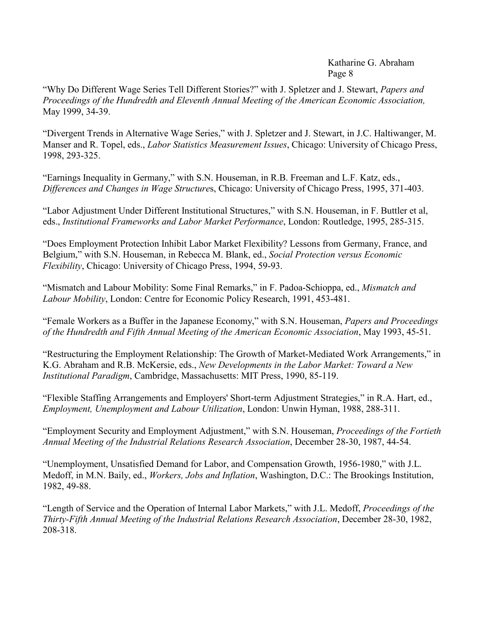"Why Do Different Wage Series Tell Different Stories?" with J. Spletzer and J. Stewart, *Papers and Proceedings of the Hundredth and Eleventh Annual Meeting of the American Economic Association,* May 1999, 34-39.

"Divergent Trends in Alternative Wage Series," with J. Spletzer and J. Stewart, in J.C. Haltiwanger, M. Manser and R. Topel, eds., *Labor Statistics Measurement Issues*, Chicago: University of Chicago Press, 1998, 293-325.

"Earnings Inequality in Germany," with S.N. Houseman, in R.B. Freeman and L.F. Katz, eds., *Differences and Changes in Wage Structure*s, Chicago: University of Chicago Press, 1995, 371-403.

"Labor Adjustment Under Different Institutional Structures," with S.N. Houseman, in F. Buttler et al, eds., *Institutional Frameworks and Labor Market Performance*, London: Routledge, 1995, 285-315.

"Does Employment Protection Inhibit Labor Market Flexibility? Lessons from Germany, France, and Belgium," with S.N. Houseman, in Rebecca M. Blank, ed., *Social Protection versus Economic Flexibility*, Chicago: University of Chicago Press, 1994, 59-93.

"Mismatch and Labour Mobility: Some Final Remarks," in F. Padoa-Schioppa, ed., *Mismatch and Labour Mobility*, London: Centre for Economic Policy Research, 1991, 453-481.

"Female Workers as a Buffer in the Japanese Economy," with S.N. Houseman, *Papers and Proceedings of the Hundredth and Fifth Annual Meeting of the American Economic Association*, May 1993, 45-51.

"Restructuring the Employment Relationship: The Growth of Market-Mediated Work Arrangements," in K.G. Abraham and R.B. McKersie, eds., *New Developments in the Labor Market: Toward a New Institutional Paradigm*, Cambridge, Massachusetts: MIT Press, 1990, 85-119.

"Flexible Staffing Arrangements and Employers' Short-term Adjustment Strategies," in R.A. Hart, ed., *Employment, Unemployment and Labour Utilization*, London: Unwin Hyman, 1988, 288-311.

"Employment Security and Employment Adjustment," with S.N. Houseman, *Proceedings of the Fortieth Annual Meeting of the Industrial Relations Research Association*, December 28-30, 1987, 44-54.

"Unemployment, Unsatisfied Demand for Labor, and Compensation Growth, 1956-1980," with J.L. Medoff, in M.N. Baily, ed., *Workers, Jobs and Inflation*, Washington, D.C.: The Brookings Institution, 1982, 49-88.

"Length of Service and the Operation of Internal Labor Markets," with J.L. Medoff, *Proceedings of the Thirty-Fifth Annual Meeting of the Industrial Relations Research Association*, December 28-30, 1982, 208-318.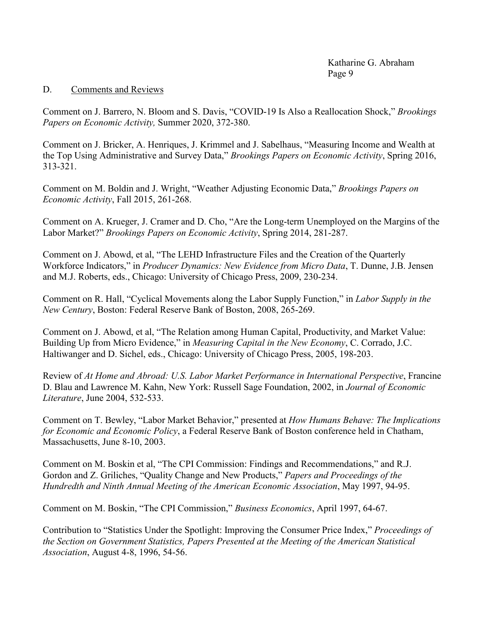### D. Comments and Reviews

Comment on J. Barrero, N. Bloom and S. Davis, "COVID-19 Is Also a Reallocation Shock," *Brookings Papers on Economic Activity,* Summer 2020, 372-380.

Comment on J. Bricker, A. Henriques, J. Krimmel and J. Sabelhaus, "Measuring Income and Wealth at the Top Using Administrative and Survey Data," *Brookings Papers on Economic Activity*, Spring 2016, 313-321.

Comment on M. Boldin and J. Wright, "Weather Adjusting Economic Data," *Brookings Papers on Economic Activity*, Fall 2015, 261-268.

Comment on A. Krueger, J. Cramer and D. Cho, "Are the Long-term Unemployed on the Margins of the Labor Market?" *Brookings Papers on Economic Activity*, Spring 2014, 281-287.

Comment on J. Abowd, et al, "The LEHD Infrastructure Files and the Creation of the Quarterly Workforce Indicators," in *Producer Dynamics: New Evidence from Micro Data*, T. Dunne, J.B. Jensen and M.J. Roberts, eds., Chicago: University of Chicago Press, 2009, 230-234.

Comment on R. Hall, "Cyclical Movements along the Labor Supply Function," in *Labor Supply in the New Century*, Boston: Federal Reserve Bank of Boston, 2008, 265-269.

Comment on J. Abowd, et al, "The Relation among Human Capital, Productivity, and Market Value: Building Up from Micro Evidence," in *Measuring Capital in the New Economy*, C. Corrado, J.C. Haltiwanger and D. Sichel, eds., Chicago: University of Chicago Press, 2005, 198-203.

Review of *At Home and Abroad: U.S. Labor Market Performance in International Perspective*, Francine D. Blau and Lawrence M. Kahn, New York: Russell Sage Foundation, 2002, in *Journal of Economic Literature*, June 2004, 532-533.

Comment on T. Bewley, "Labor Market Behavior," presented at *How Humans Behave: The Implications for Economic and Economic Policy*, a Federal Reserve Bank of Boston conference held in Chatham, Massachusetts, June 8-10, 2003.

Comment on M. Boskin et al, "The CPI Commission: Findings and Recommendations," and R.J. Gordon and Z. Griliches, "Quality Change and New Products," *Papers and Proceedings of the Hundredth and Ninth Annual Meeting of the American Economic Association*, May 1997, 94-95.

Comment on M. Boskin, "The CPI Commission," *Business Economics*, April 1997, 64-67.

Contribution to "Statistics Under the Spotlight: Improving the Consumer Price Index," *Proceedings of the Section on Government Statistics, Papers Presented at the Meeting of the American Statistical Association*, August 4-8, 1996, 54-56.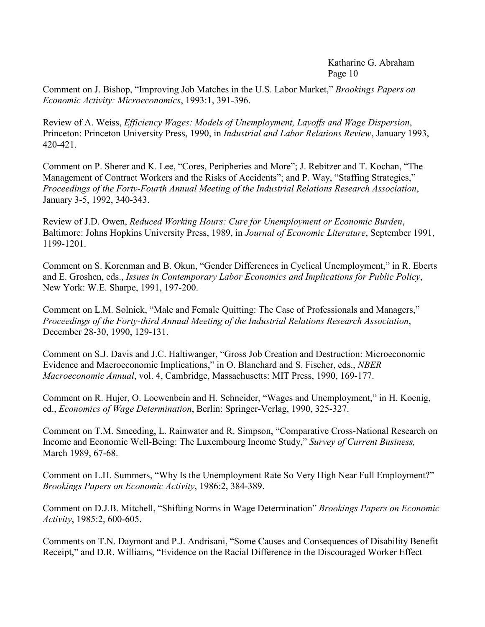Comment on J. Bishop, "Improving Job Matches in the U.S. Labor Market," *Brookings Papers on Economic Activity: Microeconomics*, 1993:1, 391-396.

Review of A. Weiss, *Efficiency Wages: Models of Unemployment, Layoffs and Wage Dispersion*, Princeton: Princeton University Press, 1990, in *Industrial and Labor Relations Review*, January 1993, 420-421.

Comment on P. Sherer and K. Lee, "Cores, Peripheries and More"; J. Rebitzer and T. Kochan, "The Management of Contract Workers and the Risks of Accidents"; and P. Way, "Staffing Strategies," *Proceedings of the Forty-Fourth Annual Meeting of the Industrial Relations Research Association*, January 3-5, 1992, 340-343.

Review of J.D. Owen, *Reduced Working Hours: Cure for Unemployment or Economic Burden*, Baltimore: Johns Hopkins University Press, 1989, in *Journal of Economic Literature*, September 1991, 1199-1201.

Comment on S. Korenman and B. Okun, "Gender Differences in Cyclical Unemployment," in R. Eberts and E. Groshen, eds., *Issues in Contemporary Labor Economics and Implications for Public Policy*, New York: W.E. Sharpe, 1991, 197-200.

Comment on L.M. Solnick, "Male and Female Quitting: The Case of Professionals and Managers," *Proceedings of the Forty-third Annual Meeting of the Industrial Relations Research Association*, December 28-30, 1990, 129-131.

Comment on S.J. Davis and J.C. Haltiwanger, "Gross Job Creation and Destruction: Microeconomic Evidence and Macroeconomic Implications," in O. Blanchard and S. Fischer, eds., *NBER Macroeconomic Annual*, vol. 4, Cambridge, Massachusetts: MIT Press, 1990, 169-177.

Comment on R. Hujer, O. Loewenbein and H. Schneider, "Wages and Unemployment," in H. Koenig, ed., *Economics of Wage Determination*, Berlin: Springer-Verlag, 1990, 325-327.

Comment on T.M. Smeeding, L. Rainwater and R. Simpson, "Comparative Cross-National Research on Income and Economic Well-Being: The Luxembourg Income Study," *Survey of Current Business,* March 1989, 67-68.

Comment on L.H. Summers, "Why Is the Unemployment Rate So Very High Near Full Employment?" *Brookings Papers on Economic Activity*, 1986:2, 384-389.

Comment on D.J.B. Mitchell, "Shifting Norms in Wage Determination" *Brookings Papers on Economic Activity*, 1985:2, 600-605.

Comments on T.N. Daymont and P.J. Andrisani, "Some Causes and Consequences of Disability Benefit Receipt," and D.R. Williams, "Evidence on the Racial Difference in the Discouraged Worker Effect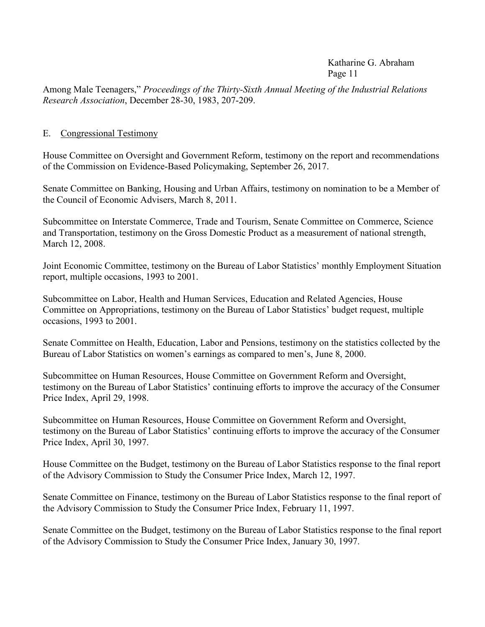Among Male Teenagers," *Proceedings of the Thirty-Sixth Annual Meeting of the Industrial Relations Research Association*, December 28-30, 1983, 207-209.

### E. Congressional Testimony

House Committee on Oversight and Government Reform, testimony on the report and recommendations of the Commission on Evidence-Based Policymaking, September 26, 2017.

Senate Committee on Banking, Housing and Urban Affairs, testimony on nomination to be a Member of the Council of Economic Advisers, March 8, 2011.

Subcommittee on Interstate Commerce, Trade and Tourism, Senate Committee on Commerce, Science and Transportation, testimony on the Gross Domestic Product as a measurement of national strength, March 12, 2008.

Joint Economic Committee, testimony on the Bureau of Labor Statistics' monthly Employment Situation report, multiple occasions, 1993 to 2001.

Subcommittee on Labor, Health and Human Services, Education and Related Agencies, House Committee on Appropriations, testimony on the Bureau of Labor Statistics' budget request, multiple occasions, 1993 to 2001.

Senate Committee on Health, Education, Labor and Pensions, testimony on the statistics collected by the Bureau of Labor Statistics on women's earnings as compared to men's, June 8, 2000.

Subcommittee on Human Resources, House Committee on Government Reform and Oversight, testimony on the Bureau of Labor Statistics' continuing efforts to improve the accuracy of the Consumer Price Index, April 29, 1998.

Subcommittee on Human Resources, House Committee on Government Reform and Oversight, testimony on the Bureau of Labor Statistics' continuing efforts to improve the accuracy of the Consumer Price Index, April 30, 1997.

House Committee on the Budget, testimony on the Bureau of Labor Statistics response to the final report of the Advisory Commission to Study the Consumer Price Index, March 12, 1997.

Senate Committee on Finance, testimony on the Bureau of Labor Statistics response to the final report of the Advisory Commission to Study the Consumer Price Index, February 11, 1997.

Senate Committee on the Budget, testimony on the Bureau of Labor Statistics response to the final report of the Advisory Commission to Study the Consumer Price Index, January 30, 1997.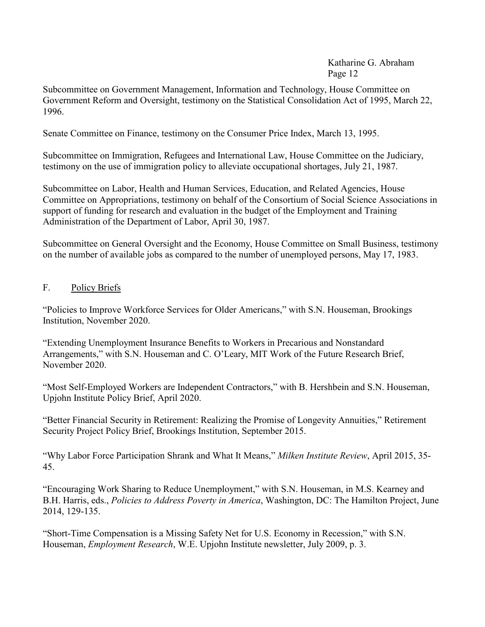Subcommittee on Government Management, Information and Technology, House Committee on Government Reform and Oversight, testimony on the Statistical Consolidation Act of 1995, March 22, 1996.

Senate Committee on Finance, testimony on the Consumer Price Index, March 13, 1995.

Subcommittee on Immigration, Refugees and International Law, House Committee on the Judiciary, testimony on the use of immigration policy to alleviate occupational shortages, July 21, 1987.

Subcommittee on Labor, Health and Human Services, Education, and Related Agencies, House Committee on Appropriations, testimony on behalf of the Consortium of Social Science Associations in support of funding for research and evaluation in the budget of the Employment and Training Administration of the Department of Labor, April 30, 1987.

Subcommittee on General Oversight and the Economy, House Committee on Small Business, testimony on the number of available jobs as compared to the number of unemployed persons, May 17, 1983.

### F. Policy Briefs

"Policies to Improve Workforce Services for Older Americans," with S.N. Houseman, Brookings Institution, November 2020.

"Extending Unemployment Insurance Benefits to Workers in Precarious and Nonstandard Arrangements," with S.N. Houseman and C. O'Leary, MIT Work of the Future Research Brief, November 2020.

"Most Self-Employed Workers are Independent Contractors," with B. Hershbein and S.N. Houseman, Upjohn Institute Policy Brief, April 2020.

"Better Financial Security in Retirement: Realizing the Promise of Longevity Annuities," Retirement Security Project Policy Brief, Brookings Institution, September 2015.

"Why Labor Force Participation Shrank and What It Means," *Milken Institute Review*, April 2015, 35- 45.

"Encouraging Work Sharing to Reduce Unemployment," with S.N. Houseman, in M.S. Kearney and B.H. Harris, eds., *Policies to Address Poverty in America*, Washington, DC: The Hamilton Project, June 2014, 129-135.

"Short-Time Compensation is a Missing Safety Net for U.S. Economy in Recession," with S.N. Houseman, *Employment Research*, W.E. Upjohn Institute newsletter, July 2009, p. 3.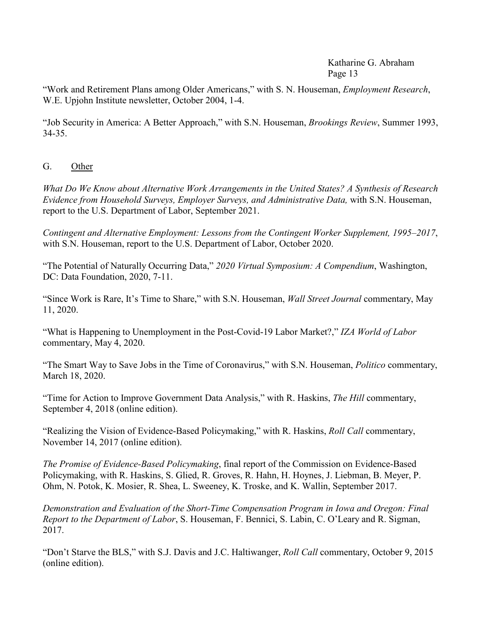"Work and Retirement Plans among Older Americans," with S. N. Houseman, *Employment Research*, W.E. Upjohn Institute newsletter, October 2004, 1-4.

"Job Security in America: A Better Approach," with S.N. Houseman, *Brookings Review*, Summer 1993, 34-35.

G. Other

*What Do We Know about Alternative Work Arrangements in the United States? A Synthesis of Research Evidence from Household Surveys, Employer Surveys, and Administrative Data,* with S.N. Houseman, report to the U.S. Department of Labor, September 2021.

*Contingent and Alternative Employment: Lessons from the Contingent Worker Supplement, 1995–2017*, with S.N. Houseman, report to the U.S. Department of Labor, October 2020.

"The Potential of Naturally Occurring Data," *2020 Virtual Symposium: A Compendium*, Washington, DC: Data Foundation, 2020, 7-11.

"Since Work is Rare, It's Time to Share," with S.N. Houseman, *Wall Street Journal* commentary, May 11, 2020.

"What is Happening to Unemployment in the Post-Covid-19 Labor Market?," *IZA World of Labor* commentary, May 4, 2020.

"The Smart Way to Save Jobs in the Time of Coronavirus," with S.N. Houseman, *Politico* commentary, March 18, 2020.

"Time for Action to Improve Government Data Analysis," with R. Haskins, *The Hill* commentary, September 4, 2018 (online edition).

"Realizing the Vision of Evidence-Based Policymaking," with R. Haskins, *Roll Call* commentary, November 14, 2017 (online edition).

*The Promise of Evidence-Based Policymaking*, final report of the Commission on Evidence-Based Policymaking, with R. Haskins, S. Glied, R. Groves, R. Hahn, H. Hoynes, J. Liebman, B. Meyer, P. Ohm, N. Potok, K. Mosier, R. Shea, L. Sweeney, K. Troske, and K. Wallin, September 2017.

*Demonstration and Evaluation of the Short-Time Compensation Program in Iowa and Oregon: Final Report to the Department of Labor*, S. Houseman, F. Bennici, S. Labin, C. O'Leary and R. Sigman, 2017.

"Don't Starve the BLS," with S.J. Davis and J.C. Haltiwanger, *Roll Call* commentary, October 9, 2015 (online edition).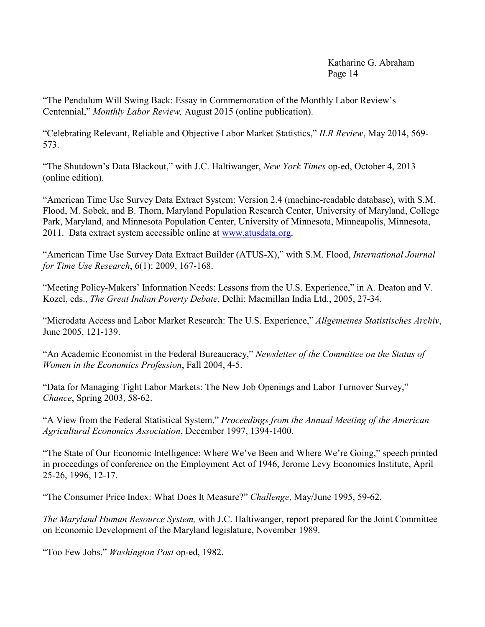"The Pendulum Will Swing Back: Essay in Commemoration of the Monthly Labor Review's Centennial," *Monthly Labor Review,* August 2015 (online publication).

"Celebrating Relevant, Reliable and Objective Labor Market Statistics," *ILR Review*, May 2014, 569- 573.

"The Shutdown's Data Blackout," with J.C. Haltiwanger, *New York Times* op-ed, October 4, 2013 (online edition).

"American Time Use Survey Data Extract System: Version 2.4 (machine-readable database), with S.M. Flood, M. Sobek, and B. Thorn, Maryland Population Research Center, University of Maryland, College Park, Maryland, and Minnesota Population Center, University of Minnesota, Minneapolis, Minnesota, 2011. Data extract system accessible online at [www.atusdata.org.](http://www.atusdata.org/)

"American Time Use Survey Data Extract Builder (ATUS-X)," with S.M. Flood, *International Journal for Time Use Research*, 6(1): 2009, 167-168.

"Meeting Policy-Makers' Information Needs: Lessons from the U.S. Experience," in A. Deaton and V. Kozel, eds., *The Great Indian Poverty Debate*, Delhi: Macmillan India Ltd., 2005, 27-34.

"Microdata Access and Labor Market Research: The U.S. Experience," *Allgemeines Statistisches Archiv*, June 2005, 121-139.

"An Academic Economist in the Federal Bureaucracy," *Newsletter of the Committee on the Status of Women in the Economics Profession*, Fall 2004, 4-5.

"Data for Managing Tight Labor Markets: The New Job Openings and Labor Turnover Survey," *Chance*, Spring 2003, 58-62.

"A View from the Federal Statistical System," *Proceedings from the Annual Meeting of the American Agricultural Economics Association*, December 1997, 1394-1400.

"The State of Our Economic Intelligence: Where We've Been and Where We're Going," speech printed in proceedings of conference on the Employment Act of 1946, Jerome Levy Economics Institute, April 25-26, 1996, 12-17.

"The Consumer Price Index: What Does It Measure?" *Challenge*, May/June 1995, 59-62.

*The Maryland Human Resource System,* with J.C. Haltiwanger, report prepared for the Joint Committee on Economic Development of the Maryland legislature, November 1989.

"Too Few Jobs," *Washington Post* op-ed, 1982.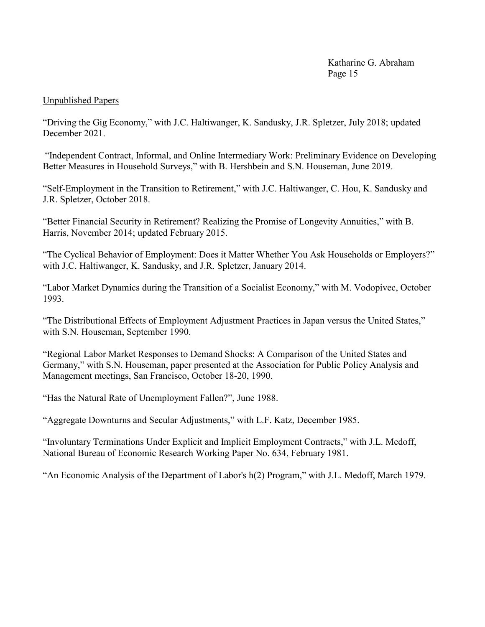### Unpublished Papers

"Driving the Gig Economy," with J.C. Haltiwanger, K. Sandusky, J.R. Spletzer, July 2018; updated December 2021.

"Independent Contract, Informal, and Online Intermediary Work: Preliminary Evidence on Developing Better Measures in Household Surveys," with B. Hershbein and S.N. Houseman, June 2019.

"Self-Employment in the Transition to Retirement," with J.C. Haltiwanger, C. Hou, K. Sandusky and J.R. Spletzer, October 2018.

"Better Financial Security in Retirement? Realizing the Promise of Longevity Annuities," with B. Harris, November 2014; updated February 2015.

"The Cyclical Behavior of Employment: Does it Matter Whether You Ask Households or Employers?" with J.C. Haltiwanger, K. Sandusky, and J.R. Spletzer, January 2014.

"Labor Market Dynamics during the Transition of a Socialist Economy," with M. Vodopivec, October 1993.

"The Distributional Effects of Employment Adjustment Practices in Japan versus the United States," with S.N. Houseman, September 1990.

"Regional Labor Market Responses to Demand Shocks: A Comparison of the United States and Germany," with S.N. Houseman, paper presented at the Association for Public Policy Analysis and Management meetings, San Francisco, October 18-20, 1990.

"Has the Natural Rate of Unemployment Fallen?", June 1988.

"Aggregate Downturns and Secular Adjustments," with L.F. Katz, December 1985.

"Involuntary Terminations Under Explicit and Implicit Employment Contracts," with J.L. Medoff, National Bureau of Economic Research Working Paper No. 634, February 1981.

"An Economic Analysis of the Department of Labor's h(2) Program," with J.L. Medoff, March 1979.